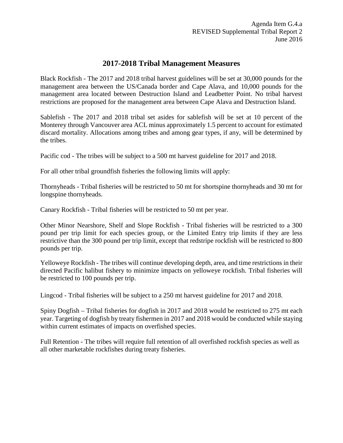## **2017-2018 Tribal Management Measures**

Black Rockfish - The 2017 and 2018 tribal harvest guidelines will be set at 30,000 pounds for the management area between the US/Canada border and Cape Alava, and 10,000 pounds for the management area located between Destruction Island and Leadbetter Point. No tribal harvest restrictions are proposed for the management area between Cape Alava and Destruction Island.

Sablefish - The 2017 and 2018 tribal set asides for sablefish will be set at 10 percent of the Monterey through Vancouver area ACL minus approximately 1.5 percent to account for estimated discard mortality. Allocations among tribes and among gear types, if any, will be determined by the tribes.

Pacific cod - The tribes will be subject to a 500 mt harvest guideline for 2017 and 2018.

For all other tribal groundfish fisheries the following limits will apply:

Thornyheads - Tribal fisheries will be restricted to 50 mt for shortspine thornyheads and 30 mt for longspine thornyheads.

Canary Rockfish - Tribal fisheries will be restricted to 50 mt per year.

Other Minor Nearshore, Shelf and Slope Rockfish - Tribal fisheries will be restricted to a 300 pound per trip limit for each species group, or the Limited Entry trip limits if they are less restrictive than the 300 pound per trip limit, except that redstripe rockfish will be restricted to 800 pounds per trip.

Yelloweye Rockfish - The tribes will continue developing depth, area, and time restrictions in their directed Pacific halibut fishery to minimize impacts on yelloweye rockfish. Tribal fisheries will be restricted to 100 pounds per trip.

Lingcod - Tribal fisheries will be subject to a 250 mt harvest guideline for 2017 and 2018.

Spiny Dogfish – Tribal fisheries for dogfish in 2017 and 2018 would be restricted to 275 mt each year. Targeting of dogfish by treaty fishermen in 2017 and 2018 would be conducted while staying within current estimates of impacts on overfished species.

Full Retention - The tribes will require full retention of all overfished rockfish species as well as all other marketable rockfishes during treaty fisheries.